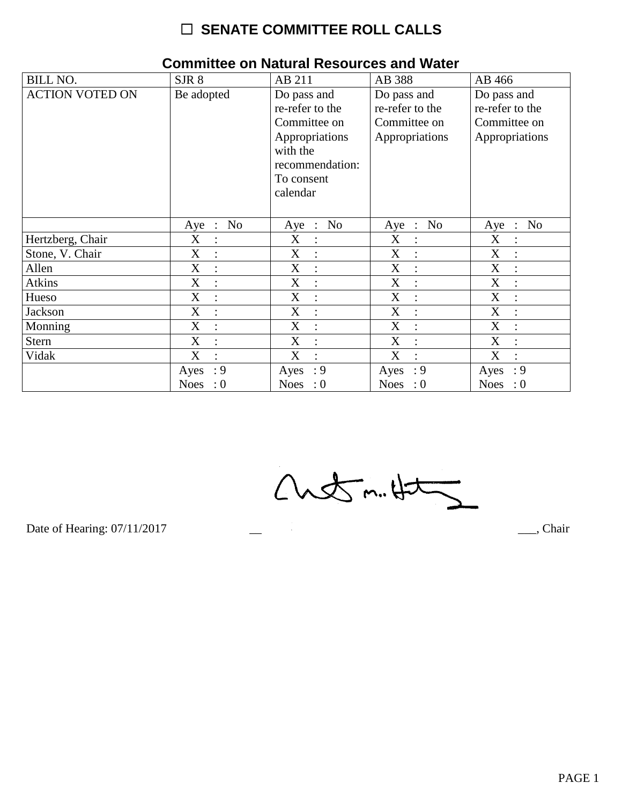| <b>BILL NO.</b>        | SJR 8               | AB 211                        | AB 388                        | AB 466                        |
|------------------------|---------------------|-------------------------------|-------------------------------|-------------------------------|
| <b>ACTION VOTED ON</b> | Be adopted          | Do pass and                   | Do pass and                   | Do pass and                   |
|                        |                     | re-refer to the               | re-refer to the               | re-refer to the               |
|                        |                     | Committee on                  | Committee on                  | Committee on                  |
|                        |                     | Appropriations                | Appropriations                | Appropriations                |
|                        |                     | with the                      |                               |                               |
|                        |                     | recommendation:               |                               |                               |
|                        |                     | To consent                    |                               |                               |
|                        |                     | calendar                      |                               |                               |
|                        |                     |                               |                               |                               |
|                        | No<br>$Aye$ :       | Aye : No                      | Aye : No                      | $\therefore$ No<br>Aye        |
| Hertzberg, Chair       | X<br>$\ddot{\cdot}$ | X<br>$\ddot{\phantom{a}}$     | X<br>$\ddot{\cdot}$           | X                             |
| Stone, V. Chair        | X                   | X                             | X                             | X                             |
| Allen                  | X<br>$\ddot{\cdot}$ | X<br>$\ddot{\cdot}$           | X<br>$\ddot{\cdot}$           | $\mathbf X$<br>$\ddot{\cdot}$ |
| Atkins                 | X<br>$\ddot{\cdot}$ | X<br>$\ddot{\cdot}$           | X<br>$\ddot{\cdot}$           | $\mathbf X$                   |
| Hueso                  | X                   | X                             | X                             | X                             |
| Jackson                | X<br>$\cdot$        | X<br>$\cdot$                  | X<br>$\dot{\mathbf{r}}$       | $\mathbf X$<br>$\cdot$        |
| Monning                | X                   | X                             | X<br>$\ddot{\cdot}$           | X                             |
| Stern                  | X<br>$\ddot{\cdot}$ | X<br>$\ddot{\cdot}$           | X<br>$\ddot{\phantom{a}}$     | X                             |
| Vidak                  | X<br>$\ddot{\cdot}$ | X<br>$\overline{\mathcal{C}}$ | X<br>$\overline{\mathcal{L}}$ | X<br>$\bullet$                |
|                        | : 9<br>Ayes         | : 9<br>Ayes                   | $\cdot$ 9<br>Ayes             | $\cdot$ 9<br>Ayes             |
|                        | Noes<br>$\cdot 0$   | Noes : $0$                    | Noes : $0$                    | Noes : $0$                    |

#### **Committee on Natural Resources and Water**

 $Custm.4t5$ 

Date of Hearing: 07/11/2017

 $\overline{\phantom{a}}$ , Chair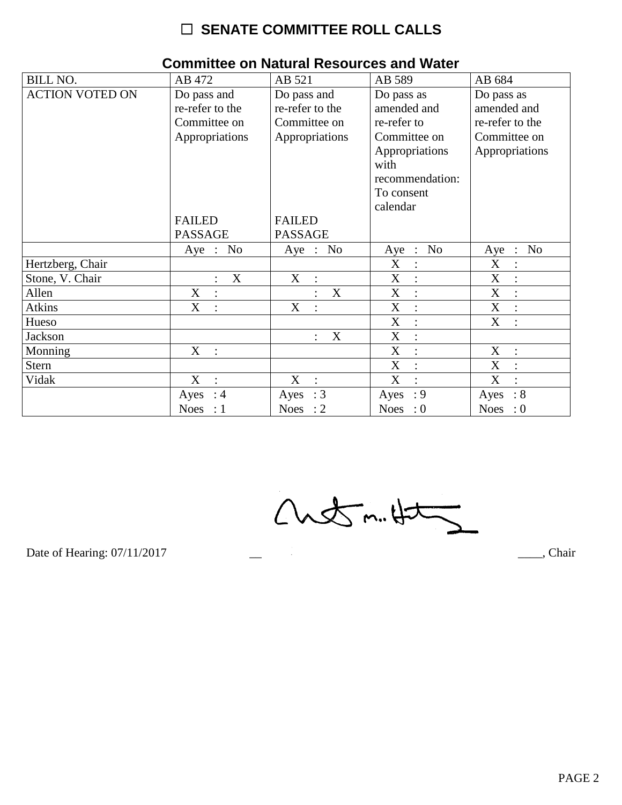| <b>BILL NO.</b>        | AB 472                        | AB 521                         | AB 589                        | AB 684                 |
|------------------------|-------------------------------|--------------------------------|-------------------------------|------------------------|
| <b>ACTION VOTED ON</b> | Do pass and                   | Do pass and                    | Do pass as                    | Do pass as             |
|                        | re-refer to the               | re-refer to the                | amended and                   | amended and            |
|                        | Committee on                  | Committee on                   | re-refer to                   | re-refer to the        |
|                        | Appropriations                | Appropriations                 | Committee on                  | Committee on           |
|                        |                               |                                | Appropriations                | Appropriations         |
|                        |                               |                                | with                          |                        |
|                        |                               |                                | recommendation:               |                        |
|                        |                               |                                | To consent                    |                        |
|                        |                               |                                | calendar                      |                        |
|                        | <b>FAILED</b>                 | <b>FAILED</b>                  |                               |                        |
|                        | <b>PASSAGE</b>                | <b>PASSAGE</b>                 |                               |                        |
|                        | Aye : $No$                    | Aye : No                       | Aye : No                      | Aye : No               |
| Hertzberg, Chair       |                               |                                | X<br>$\ddot{\cdot}$           | X                      |
| Stone, V. Chair        | X<br>$\ddot{\cdot}$           | X<br>$\mathcal{L}$             | X<br>$\ddot{\cdot}$           | X<br>$\cdot$           |
| Allen                  | X                             | X                              | X<br>$\ddot{\cdot}$           | X                      |
| <b>Atkins</b>          | X<br>$\ddot{\cdot}$           | X                              | X                             | X                      |
| Hueso                  |                               |                                | X<br>$\ddot{\cdot}$           | X                      |
| Jackson                |                               | $\boldsymbol{\mathrm{X}}$      | X<br>$\langle \cdot \rangle$  |                        |
| Monning                | $X_{-}$<br>$\mathbb{R}^2$     |                                | X<br>$\mathbb{R}^2$           | X<br>$\sim$ 1.         |
| <b>Stern</b>           |                               |                                | X                             | X                      |
| Vidak                  | X<br>$\therefore$             | X<br>$\mathbb{R}^{\mathbb{Z}}$ | X<br>$\overline{\mathcal{C}}$ | X<br>$\bullet$         |
|                        | Ayes : $4$                    | Ayes : $3$                     | Ayes : $9$                    | $\therefore 8$<br>Ayes |
|                        | <b>Noes</b><br>$\therefore$ 1 | Noes : $2$                     | Noes : $0$                    | Noes : $0$             |

#### **Committee on Natural Resources and Water**

 $Custm.4t5$ 

Date of Hearing: 07/11/2017

\_\_\_\_, Chair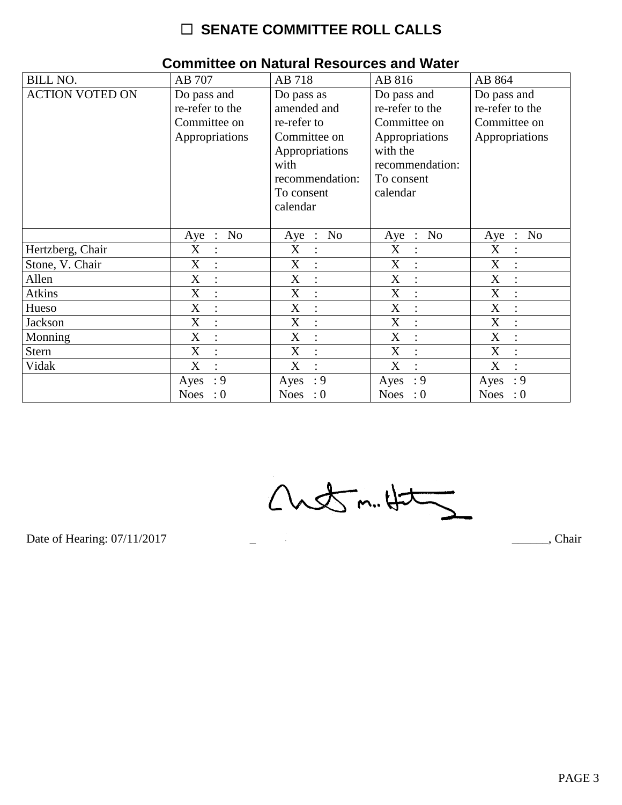| <b>BILL NO.</b>        | AB 707                                                           | AB 718                                                                                                                          | AB 816                                                                                                                    | AB 864                                                           |
|------------------------|------------------------------------------------------------------|---------------------------------------------------------------------------------------------------------------------------------|---------------------------------------------------------------------------------------------------------------------------|------------------------------------------------------------------|
| <b>ACTION VOTED ON</b> | Do pass and<br>re-refer to the<br>Committee on<br>Appropriations | Do pass as<br>amended and<br>re-refer to<br>Committee on<br>Appropriations<br>with<br>recommendation:<br>To consent<br>calendar | Do pass and<br>re-refer to the<br>Committee on<br>Appropriations<br>with the<br>recommendation:<br>To consent<br>calendar | Do pass and<br>re-refer to the<br>Committee on<br>Appropriations |
|                        | No<br>Aye :                                                      | N <sub>o</sub><br>$Aye$ :                                                                                                       | N <sub>o</sub><br>$Aye$ :                                                                                                 | N <sub>o</sub><br>$Aye$ :                                        |
| Hertzberg, Chair       | X<br>$\ddot{\cdot}$                                              | X<br>$\ddot{\cdot}$                                                                                                             | X<br>$\ddot{\cdot}$                                                                                                       | X                                                                |
| Stone, V. Chair        | X                                                                | X                                                                                                                               | X                                                                                                                         | X                                                                |
| Allen                  | $\boldsymbol{\mathrm{X}}$<br>$\ddot{\cdot}$                      | X<br>$\ddot{\cdot}$                                                                                                             | X<br>$\ddot{\cdot}$                                                                                                       | X                                                                |
| <b>Atkins</b>          | X<br>$\ddot{\cdot}$                                              | X<br>$\overline{\mathcal{C}}$                                                                                                   | X<br>$\cdot$                                                                                                              | X                                                                |
| Hueso                  | X<br>$\ddot{\cdot}$                                              | X<br>$\ddot{\cdot}$                                                                                                             | X<br>$\ddot{\cdot}$                                                                                                       | X                                                                |
| Jackson                | X                                                                | X                                                                                                                               | X                                                                                                                         | X                                                                |
| Monning                | X<br>$\ddot{\cdot}$                                              | X<br>$\ddot{\cdot}$                                                                                                             | X<br>$\ddot{ }$                                                                                                           | X                                                                |
| <b>Stern</b>           | X<br>$\ddot{\cdot}$                                              | X<br>$\ddot{\cdot}$                                                                                                             | X<br>$\ddot{\cdot}$                                                                                                       | X                                                                |
| Vidak                  | X<br>$\bullet$                                                   | X<br>$\bullet$                                                                                                                  | X<br>$\bullet$                                                                                                            | X                                                                |
|                        | : 9<br>Ayes                                                      | : 9<br>Ayes                                                                                                                     | $\cdot$ 9<br>Ayes                                                                                                         | : 9<br>Ayes                                                      |
|                        | Noes : $0$                                                       | Noes : $0$                                                                                                                      | Noes : $0$                                                                                                                | Noes : $0$                                                       |

 $\overline{\phantom{0}}$ 

#### **Committee on Natural Resources and Water**

 $Custm.4t$ 

Date of Hearing: 07/11/2017

Chair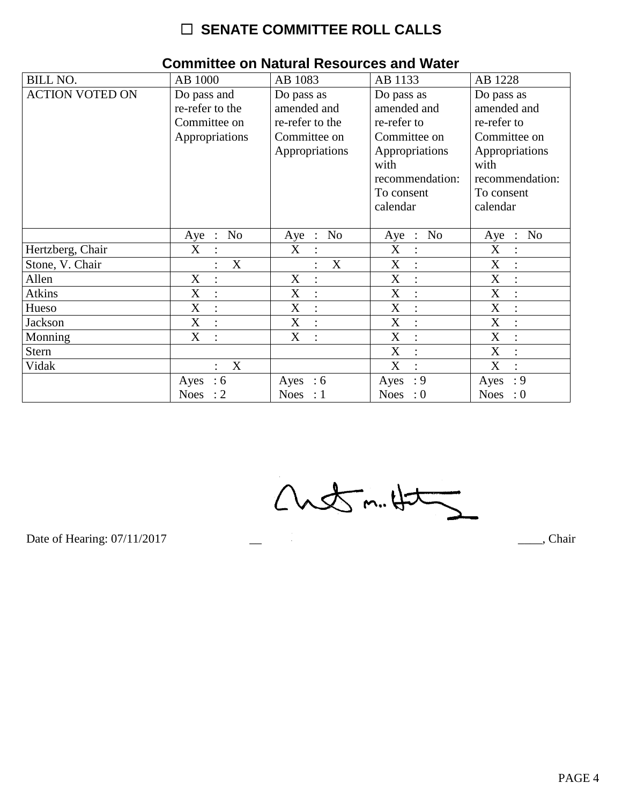| <b>BILL NO.</b>        | AB 1000             | AB 1083             | AB 1133                   | AB 1228                   |
|------------------------|---------------------|---------------------|---------------------------|---------------------------|
| <b>ACTION VOTED ON</b> | Do pass and         | Do pass as          | Do pass as                | Do pass as                |
|                        | re-refer to the     | amended and         | amended and               | amended and               |
|                        | Committee on        | re-refer to the     | re-refer to               | re-refer to               |
|                        | Appropriations      | Committee on        | Committee on              | Committee on              |
|                        |                     | Appropriations      | Appropriations            | Appropriations            |
|                        |                     |                     | with                      | with                      |
|                        |                     |                     | recommendation:           | recommendation:           |
|                        |                     |                     | To consent                | To consent                |
|                        |                     |                     | calendar                  | calendar                  |
|                        |                     |                     |                           |                           |
|                        | No<br>Aye :         | No<br>Aye :         | N <sub>0</sub><br>$Aye$ : | No<br>$Aye$ :             |
| Hertzberg, Chair       | X<br>$\ddot{\cdot}$ | X<br>$\bullet$      | X<br>$\ddot{\cdot}$       | $\boldsymbol{X}$          |
| Stone, V. Chair        | X                   | X                   | X                         | X                         |
| Allen                  | X<br>$\ddot{\cdot}$ | X<br>$\ddot{\cdot}$ | X<br>$\ddot{\phantom{a}}$ | $\boldsymbol{\mathrm{X}}$ |
| <b>Atkins</b>          | X<br>$\ddot{\cdot}$ | X<br>$\ddot{\cdot}$ | X<br>$\bullet$            | X                         |
| Hueso                  | X<br>$\ddot{\cdot}$ | X<br>$\ddot{\cdot}$ | X<br>$\ddot{\cdot}$       | X                         |
| Jackson                | X                   | X<br>$\ddot{\cdot}$ | X                         | X                         |
| Monning                | X<br>$\ddot{\cdot}$ | X<br>$\ddot{\cdot}$ | X<br>$\ddot{\cdot}$       | X<br>$\ddot{\cdot}$       |
| <b>Stern</b>           |                     |                     | X                         | X                         |
| Vidak                  | X<br>$\ddot{\cdot}$ |                     | X<br>$\ddot{\cdot}$       | X                         |
|                        | $\cdot 6$<br>Ayes   | Ayes : $6$          | : 9<br>Ayes               | : 9<br>Ayes               |
|                        | Noes : $2$          | Noes : $1$          | Noes : $0$                | Noes : $0$                |

#### **Committee on Natural Resources and Water**

 $Custm.4t\overline{2}$ 

Date of Hearing: 07/11/2017

\_\_\_\_, Chair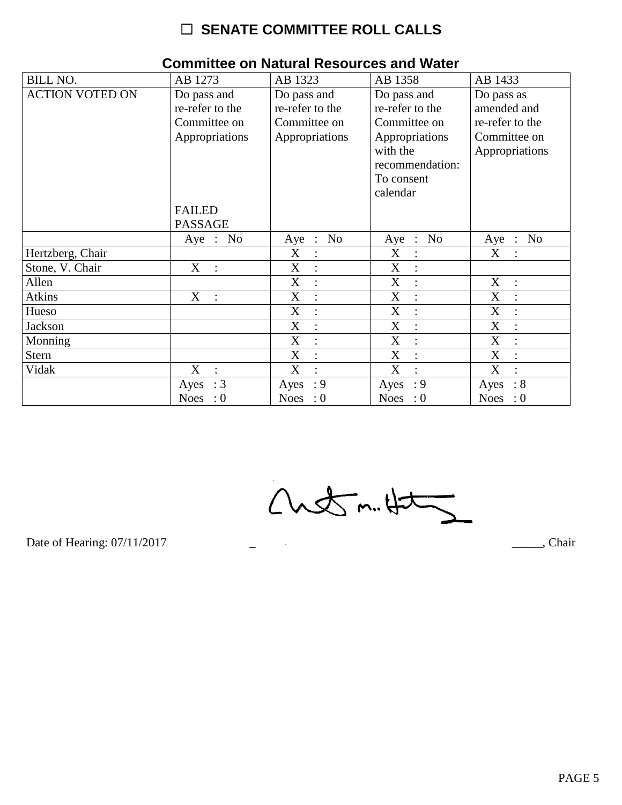| <b>BILL NO.</b>        | AB 1273                                                          | AB 1323                                                          | AB 1358                                                                                                                   | AB 1433                                                                        |
|------------------------|------------------------------------------------------------------|------------------------------------------------------------------|---------------------------------------------------------------------------------------------------------------------------|--------------------------------------------------------------------------------|
| <b>ACTION VOTED ON</b> | Do pass and<br>re-refer to the<br>Committee on<br>Appropriations | Do pass and<br>re-refer to the<br>Committee on<br>Appropriations | Do pass and<br>re-refer to the<br>Committee on<br>Appropriations<br>with the<br>recommendation:<br>To consent<br>calendar | Do pass as<br>amended and<br>re-refer to the<br>Committee on<br>Appropriations |
|                        | <b>FAILED</b><br><b>PASSAGE</b>                                  |                                                                  |                                                                                                                           |                                                                                |
|                        | Aye : No                                                         | Aye : No                                                         | Aye : No                                                                                                                  | Aye : No                                                                       |
| Hertzberg, Chair       |                                                                  | X                                                                | X                                                                                                                         | X                                                                              |
| Stone, V. Chair        | X<br>$\mathbb{R}^2$                                              | X<br>$\ddot{\cdot}$                                              | X<br>$\ddot{\cdot}$                                                                                                       |                                                                                |
| Allen                  |                                                                  | X<br>$\ddot{\cdot}$                                              | X<br>$\ddot{\cdot}$                                                                                                       | X<br>$\ddot{\cdot}$                                                            |
| <b>Atkins</b>          | X<br>$\mathbb{R}^n$                                              | X<br>$\overline{\cdot}$                                          | X                                                                                                                         | X                                                                              |
| Hueso                  |                                                                  | X<br>$\ddot{\cdot}$                                              | X<br>$\ddot{\cdot}$                                                                                                       | $\mathbf X$                                                                    |
| Jackson                |                                                                  | X<br>$\ddot{\cdot}$                                              | X<br>$\ddot{\cdot}$                                                                                                       | X                                                                              |
| Monning                |                                                                  | X<br>$\ddot{\cdot}$                                              | X<br>$\ddot{ }$                                                                                                           | X                                                                              |
| <b>Stern</b>           |                                                                  | X<br>$\ddot{\cdot}$                                              | X<br>$\therefore$                                                                                                         | X<br>$\ddot{\cdot}$                                                            |
| Vidak                  | X<br>$\ddot{\cdot}$                                              | X<br>$\bullet$                                                   | X                                                                                                                         | X                                                                              |
|                        | $\therefore$ 3<br>Ayes                                           | : 9<br>Ayes                                                      | $\cdot$ 9<br>Ayes                                                                                                         | $\therefore 8$<br>Ayes                                                         |
|                        | <b>Noes</b><br>$\cdot 0$                                         | Noes : $0$                                                       | Noes : $0$                                                                                                                | <b>Noes</b><br>$\therefore 0$                                                  |

#### **Committee on Natural Resources and Water**

 $Custm.4t$ 

Date of Hearing: 07/11/2017

Chair